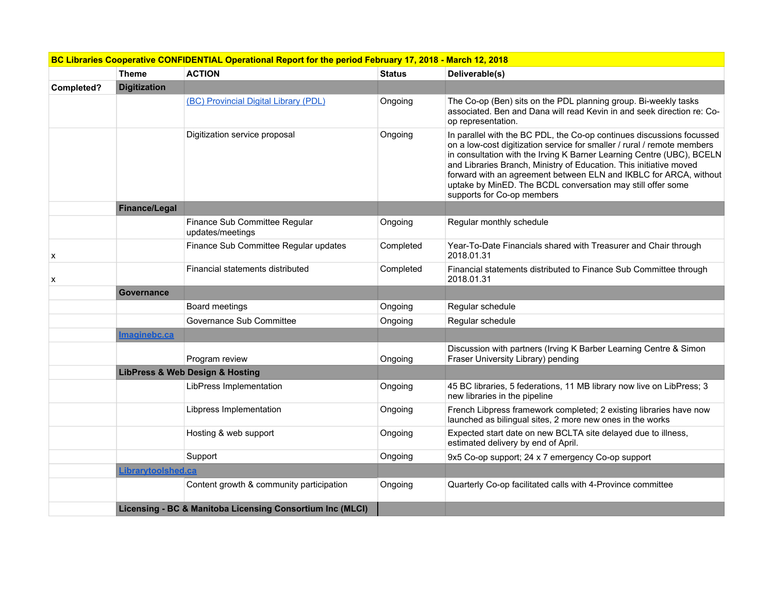|            |                      | BC Libraries Cooperative CONFIDENTIAL Operational Report for the period February 17, 2018 - March 12, 2018 |               |                                                                                                                                                                                                                                                                                                                                                                                                                                                                   |
|------------|----------------------|------------------------------------------------------------------------------------------------------------|---------------|-------------------------------------------------------------------------------------------------------------------------------------------------------------------------------------------------------------------------------------------------------------------------------------------------------------------------------------------------------------------------------------------------------------------------------------------------------------------|
|            | <b>Theme</b>         | <b>ACTION</b>                                                                                              | <b>Status</b> | Deliverable(s)                                                                                                                                                                                                                                                                                                                                                                                                                                                    |
| Completed? | <b>Digitization</b>  |                                                                                                            |               |                                                                                                                                                                                                                                                                                                                                                                                                                                                                   |
|            |                      | (BC) Provincial Digital Library (PDL)                                                                      | Ongoing       | The Co-op (Ben) sits on the PDL planning group. Bi-weekly tasks<br>associated. Ben and Dana will read Kevin in and seek direction re: Co-<br>op representation.                                                                                                                                                                                                                                                                                                   |
|            |                      | Digitization service proposal                                                                              | Ongoing       | In parallel with the BC PDL, the Co-op continues discussions focussed<br>on a low-cost digitization service for smaller / rural / remote members<br>in consultation with the Irving K Barner Learning Centre (UBC), BCELN<br>and Libraries Branch, Ministry of Education. This initiative moved<br>forward with an agreement between ELN and IKBLC for ARCA, without<br>uptake by MinED. The BCDL conversation may still offer some<br>supports for Co-op members |
|            | <b>Finance/Legal</b> |                                                                                                            |               |                                                                                                                                                                                                                                                                                                                                                                                                                                                                   |
|            |                      | Finance Sub Committee Regular<br>updates/meetings                                                          | Ongoing       | Regular monthly schedule                                                                                                                                                                                                                                                                                                                                                                                                                                          |
| x          |                      | Finance Sub Committee Regular updates                                                                      | Completed     | Year-To-Date Financials shared with Treasurer and Chair through<br>2018.01.31                                                                                                                                                                                                                                                                                                                                                                                     |
| х          |                      | Financial statements distributed                                                                           | Completed     | Financial statements distributed to Finance Sub Committee through<br>2018.01.31                                                                                                                                                                                                                                                                                                                                                                                   |
|            | <b>Governance</b>    |                                                                                                            |               |                                                                                                                                                                                                                                                                                                                                                                                                                                                                   |
|            |                      | Board meetings                                                                                             | Ongoing       | Regular schedule                                                                                                                                                                                                                                                                                                                                                                                                                                                  |
|            |                      | Governance Sub Committee                                                                                   | Ongoing       | Regular schedule                                                                                                                                                                                                                                                                                                                                                                                                                                                  |
|            | <b>Imaginebc.ca</b>  |                                                                                                            |               |                                                                                                                                                                                                                                                                                                                                                                                                                                                                   |
|            |                      | Program review                                                                                             | Ongoing       | Discussion with partners (Irving K Barber Learning Centre & Simon<br>Fraser University Library) pending                                                                                                                                                                                                                                                                                                                                                           |
|            |                      | <b>LibPress &amp; Web Design &amp; Hosting</b>                                                             |               |                                                                                                                                                                                                                                                                                                                                                                                                                                                                   |
|            |                      | LibPress Implementation                                                                                    | Ongoing       | 45 BC libraries, 5 federations, 11 MB library now live on LibPress; 3<br>new libraries in the pipeline                                                                                                                                                                                                                                                                                                                                                            |
|            |                      | Libpress Implementation                                                                                    | Ongoing       | French Libpress framework completed; 2 existing libraries have now<br>launched as bilingual sites, 2 more new ones in the works                                                                                                                                                                                                                                                                                                                                   |
|            |                      | Hosting & web support                                                                                      | Ongoing       | Expected start date on new BCLTA site delayed due to illness,<br>estimated delivery by end of April.                                                                                                                                                                                                                                                                                                                                                              |
|            |                      | Support                                                                                                    | Ongoing       | 9x5 Co-op support; 24 x 7 emergency Co-op support                                                                                                                                                                                                                                                                                                                                                                                                                 |
|            | Librarytoolshed.ca   |                                                                                                            |               |                                                                                                                                                                                                                                                                                                                                                                                                                                                                   |
|            |                      | Content growth & community participation                                                                   | Ongoing       | Quarterly Co-op facilitated calls with 4-Province committee                                                                                                                                                                                                                                                                                                                                                                                                       |
|            |                      | Licensing - BC & Manitoba Licensing Consortium Inc (MLCI)                                                  |               |                                                                                                                                                                                                                                                                                                                                                                                                                                                                   |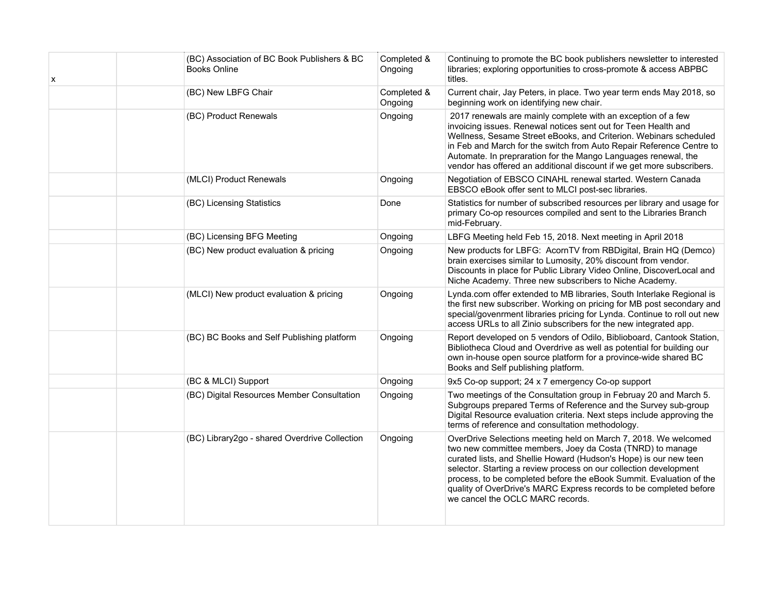| х | (BC) Association of BC Book Publishers & BC<br><b>Books Online</b> | Completed &<br>Ongoing | Continuing to promote the BC book publishers newsletter to interested<br>libraries; exploring opportunities to cross-promote & access ABPBC<br>titles.                                                                                                                                                                                                                                                                                                  |
|---|--------------------------------------------------------------------|------------------------|---------------------------------------------------------------------------------------------------------------------------------------------------------------------------------------------------------------------------------------------------------------------------------------------------------------------------------------------------------------------------------------------------------------------------------------------------------|
|   | (BC) New LBFG Chair                                                | Completed &<br>Ongoing | Current chair, Jay Peters, in place. Two year term ends May 2018, so<br>beginning work on identifying new chair.                                                                                                                                                                                                                                                                                                                                        |
|   | (BC) Product Renewals                                              | Ongoing                | 2017 renewals are mainly complete with an exception of a few<br>invoicing issues. Renewal notices sent out for Teen Health and<br>Wellness, Sesame Street eBooks, and Criterion. Webinars scheduled<br>in Feb and March for the switch from Auto Repair Reference Centre to<br>Automate. In prepraration for the Mango Languages renewal, the<br>vendor has offered an additional discount if we get more subscribers.                                  |
|   | (MLCI) Product Renewals                                            | Ongoing                | Negotiation of EBSCO CINAHL renewal started. Western Canada<br>EBSCO eBook offer sent to MLCI post-sec libraries.                                                                                                                                                                                                                                                                                                                                       |
|   | (BC) Licensing Statistics                                          | Done                   | Statistics for number of subscribed resources per library and usage for<br>primary Co-op resources compiled and sent to the Libraries Branch<br>mid-February.                                                                                                                                                                                                                                                                                           |
|   | (BC) Licensing BFG Meeting                                         | Ongoing                | LBFG Meeting held Feb 15, 2018. Next meeting in April 2018                                                                                                                                                                                                                                                                                                                                                                                              |
|   | (BC) New product evaluation & pricing                              | Ongoing                | New products for LBFG: AcornTV from RBDigital, Brain HQ (Demco)<br>brain exercises similar to Lumosity, 20% discount from vendor.<br>Discounts in place for Public Library Video Online, DiscoverLocal and<br>Niche Academy. Three new subscribers to Niche Academy.                                                                                                                                                                                    |
|   | (MLCI) New product evaluation & pricing                            | Ongoing                | Lynda.com offer extended to MB libraries, South Interlake Regional is<br>the first new subscriber. Working on pricing for MB post secondary and<br>special/govenrment libraries pricing for Lynda. Continue to roll out new<br>access URLs to all Zinio subscribers for the new integrated app.                                                                                                                                                         |
|   | (BC) BC Books and Self Publishing platform                         | Ongoing                | Report developed on 5 vendors of Odilo, Biblioboard, Cantook Station,<br>Bibliotheca Cloud and Overdrive as well as potential for building our<br>own in-house open source platform for a province-wide shared BC<br>Books and Self publishing platform.                                                                                                                                                                                                |
|   | (BC & MLCI) Support                                                | Ongoing                | 9x5 Co-op support; 24 x 7 emergency Co-op support                                                                                                                                                                                                                                                                                                                                                                                                       |
|   | (BC) Digital Resources Member Consultation                         | Ongoing                | Two meetings of the Consultation group in Februay 20 and March 5.<br>Subgroups prepared Terms of Reference and the Survey sub-group<br>Digital Resource evaluation criteria. Next steps include approving the<br>terms of reference and consultation methodology.                                                                                                                                                                                       |
|   | (BC) Library2go - shared Overdrive Collection                      | Ongoing                | OverDrive Selections meeting held on March 7, 2018. We welcomed<br>two new committee members, Joey da Costa (TNRD) to manage<br>curated lists, and Shellie Howard (Hudson's Hope) is our new teen<br>selector. Starting a review process on our collection development<br>process, to be completed before the eBook Summit. Evaluation of the<br>quality of OverDrive's MARC Express records to be completed before<br>we cancel the OCLC MARC records. |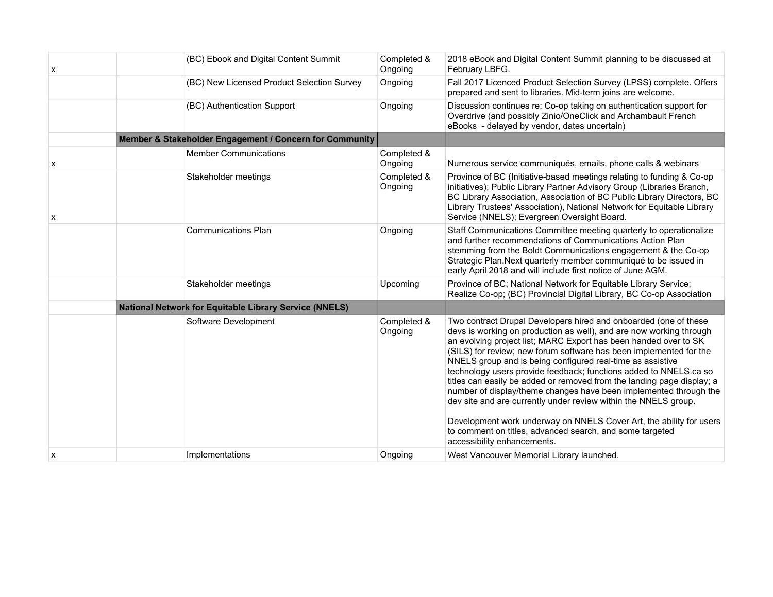| x | (BC) Ebook and Digital Content Summit                         | Completed &<br>Ongoing | 2018 eBook and Digital Content Summit planning to be discussed at<br>February LBFG.                                                                                                                                                                                                                                                                                                                                                                                                                                                                                                                                                                                                                                                                                                                      |
|---|---------------------------------------------------------------|------------------------|----------------------------------------------------------------------------------------------------------------------------------------------------------------------------------------------------------------------------------------------------------------------------------------------------------------------------------------------------------------------------------------------------------------------------------------------------------------------------------------------------------------------------------------------------------------------------------------------------------------------------------------------------------------------------------------------------------------------------------------------------------------------------------------------------------|
|   | (BC) New Licensed Product Selection Survey                    | Ongoing                | Fall 2017 Licenced Product Selection Survey (LPSS) complete. Offers<br>prepared and sent to libraries. Mid-term joins are welcome.                                                                                                                                                                                                                                                                                                                                                                                                                                                                                                                                                                                                                                                                       |
|   | (BC) Authentication Support                                   | Ongoing                | Discussion continues re: Co-op taking on authentication support for<br>Overdrive (and possibly Zinio/OneClick and Archambault French<br>eBooks - delayed by vendor, dates uncertain)                                                                                                                                                                                                                                                                                                                                                                                                                                                                                                                                                                                                                     |
|   | Member & Stakeholder Engagement / Concern for Community       |                        |                                                                                                                                                                                                                                                                                                                                                                                                                                                                                                                                                                                                                                                                                                                                                                                                          |
| x | <b>Member Communications</b>                                  | Completed &<br>Ongoing | Numerous service communiqués, emails, phone calls & webinars                                                                                                                                                                                                                                                                                                                                                                                                                                                                                                                                                                                                                                                                                                                                             |
| х | Stakeholder meetings                                          | Completed &<br>Ongoing | Province of BC (Initiative-based meetings relating to funding & Co-op<br>initiatives); Public Library Partner Advisory Group (Libraries Branch,<br>BC Library Association, Association of BC Public Library Directors, BC<br>Library Trustees' Association), National Network for Equitable Library<br>Service (NNELS); Evergreen Oversight Board.                                                                                                                                                                                                                                                                                                                                                                                                                                                       |
|   | <b>Communications Plan</b>                                    | Ongoing                | Staff Communications Committee meeting quarterly to operationalize<br>and further recommendations of Communications Action Plan<br>stemming from the Boldt Communications engagement & the Co-op<br>Strategic Plan. Next quarterly member communiqué to be issued in<br>early April 2018 and will include first notice of June AGM.                                                                                                                                                                                                                                                                                                                                                                                                                                                                      |
|   | Stakeholder meetings                                          | Upcoming               | Province of BC; National Network for Equitable Library Service;<br>Realize Co-op; (BC) Provincial Digital Library, BC Co-op Association                                                                                                                                                                                                                                                                                                                                                                                                                                                                                                                                                                                                                                                                  |
|   | <b>National Network for Equitable Library Service (NNELS)</b> |                        |                                                                                                                                                                                                                                                                                                                                                                                                                                                                                                                                                                                                                                                                                                                                                                                                          |
|   | Software Development                                          | Completed &<br>Ongoing | Two contract Drupal Developers hired and onboarded (one of these<br>devs is working on production as well), and are now working through<br>an evolving project list; MARC Export has been handed over to SK<br>(SILS) for review; new forum software has been implemented for the<br>NNELS group and is being configured real-time as assistive<br>technology users provide feedback; functions added to NNELS.ca so<br>titles can easily be added or removed from the landing page display; a<br>number of display/theme changes have been implemented through the<br>dev site and are currently under review within the NNELS group.<br>Development work underway on NNELS Cover Art, the ability for users<br>to comment on titles, advanced search, and some targeted<br>accessibility enhancements. |
| x | Implementations                                               | Ongoing                | West Vancouver Memorial Library launched.                                                                                                                                                                                                                                                                                                                                                                                                                                                                                                                                                                                                                                                                                                                                                                |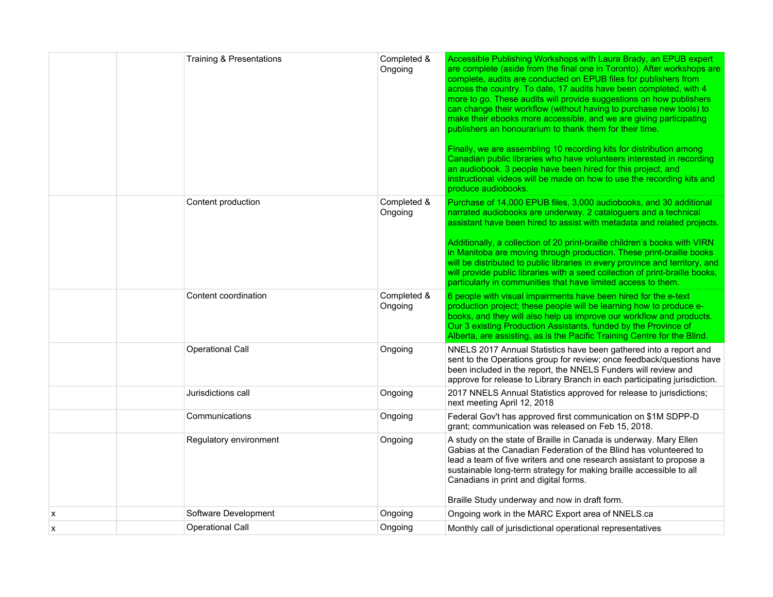|   | <b>Training &amp; Presentations</b> | Completed &<br>Ongoing | Accessible Publishing Workshops with Laura Brady, an EPUB expert<br>are complete (aside from the final one in Toronto). After workshops are<br>complete, audits are conducted on EPUB files for publishers from<br>across the country. To date, 17 audits have been completed, with 4<br>more to go. These audits will provide suggestions on how publishers<br>can change their workflow (without having to purchase new tools) to<br>make their ebooks more accessible, and we are giving participating<br>publishers an honourarium to thank them for their time.<br>Finally, we are assembling 10 recording kits for distribution among<br>Canadian public libraries who have volunteers interested in recording<br>an audiobook. 3 people have been hired for this project, and<br>instructional videos will be made on how to use the recording kits and<br>produce audiobooks. |
|---|-------------------------------------|------------------------|---------------------------------------------------------------------------------------------------------------------------------------------------------------------------------------------------------------------------------------------------------------------------------------------------------------------------------------------------------------------------------------------------------------------------------------------------------------------------------------------------------------------------------------------------------------------------------------------------------------------------------------------------------------------------------------------------------------------------------------------------------------------------------------------------------------------------------------------------------------------------------------|
|   | Content production                  | Completed &<br>Ongoing | Purchase of 14,000 EPUB files, 3,000 audiobooks, and 30 additional<br>narrated audiobooks are underway. 2 cataloguers and a technical<br>assistant have been hired to assist with metadata and related projects.<br>Additionally, a collection of 20 print-braille children's books with VIRN<br>in Manitoba are moving through production. These print-braille books<br>will be distributed to public libraries in every province and territory, and<br>will provide public libraries with a seed collection of print-braille books,<br>particularly in communities that have limited access to them.                                                                                                                                                                                                                                                                                |
|   | Content coordination                | Completed &<br>Ongoing | 6 people with visual impairments have been hired for the e-text<br>production project; these people will be learning how to produce e-<br>books, and they will also help us improve our workflow and products.<br>Our 3 existing Production Assistants, funded by the Province of<br>Alberta, are assisting, as is the Pacific Training Centre for the Blind.                                                                                                                                                                                                                                                                                                                                                                                                                                                                                                                         |
|   | <b>Operational Call</b>             | Ongoing                | NNELS 2017 Annual Statistics have been gathered into a report and<br>sent to the Operations group for review; once feedback/questions have<br>been included in the report, the NNELS Funders will review and<br>approve for release to Library Branch in each participating jurisdiction.                                                                                                                                                                                                                                                                                                                                                                                                                                                                                                                                                                                             |
|   | Jurisdictions call                  | Ongoing                | 2017 NNELS Annual Statistics approved for release to jurisdictions;<br>next meeting April 12, 2018                                                                                                                                                                                                                                                                                                                                                                                                                                                                                                                                                                                                                                                                                                                                                                                    |
|   | Communications                      | Ongoing                | Federal Gov't has approved first communication on \$1M SDPP-D<br>grant; communication was released on Feb 15, 2018.                                                                                                                                                                                                                                                                                                                                                                                                                                                                                                                                                                                                                                                                                                                                                                   |
|   | Regulatory environment              | Ongoing                | A study on the state of Braille in Canada is underway. Mary Ellen<br>Gabias at the Canadian Federation of the Blind has volunteered to<br>lead a team of five writers and one research assistant to propose a<br>sustainable long-term strategy for making braille accessible to all<br>Canadians in print and digital forms.<br>Braille Study underway and now in draft form.                                                                                                                                                                                                                                                                                                                                                                                                                                                                                                        |
| X | Software Development                | Ongoing                | Ongoing work in the MARC Export area of NNELS.ca                                                                                                                                                                                                                                                                                                                                                                                                                                                                                                                                                                                                                                                                                                                                                                                                                                      |
| X | <b>Operational Call</b>             | Ongoing                | Monthly call of jurisdictional operational representatives                                                                                                                                                                                                                                                                                                                                                                                                                                                                                                                                                                                                                                                                                                                                                                                                                            |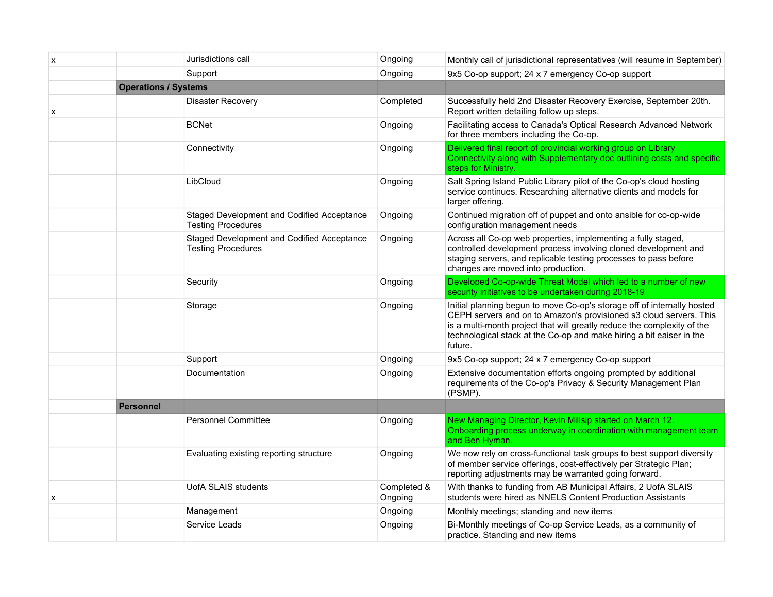| $\boldsymbol{\mathsf{x}}$ |                             | Jurisdictions call                                                      | Ongoing                | Monthly call of jurisdictional representatives (will resume in September)                                                                                                                                                                                                                                   |
|---------------------------|-----------------------------|-------------------------------------------------------------------------|------------------------|-------------------------------------------------------------------------------------------------------------------------------------------------------------------------------------------------------------------------------------------------------------------------------------------------------------|
|                           |                             | Support                                                                 | Ongoing                | 9x5 Co-op support; 24 x 7 emergency Co-op support                                                                                                                                                                                                                                                           |
|                           | <b>Operations / Systems</b> |                                                                         |                        |                                                                                                                                                                                                                                                                                                             |
| X                         |                             | <b>Disaster Recovery</b>                                                | Completed              | Successfully held 2nd Disaster Recovery Exercise, September 20th.<br>Report written detailing follow up steps.                                                                                                                                                                                              |
|                           |                             | <b>BCNet</b>                                                            | Ongoing                | Facilitating access to Canada's Optical Research Advanced Network<br>for three members including the Co-op.                                                                                                                                                                                                 |
|                           |                             | Connectivity                                                            | Ongoing                | Delivered final report of provincial working group on Library<br>Connectivity along with Supplementary doc outlining costs and specific<br>steps for Ministry.                                                                                                                                              |
|                           |                             | LibCloud                                                                | Ongoing                | Salt Spring Island Public Library pilot of the Co-op's cloud hosting<br>service continues. Researching alternative clients and models for<br>larger offering.                                                                                                                                               |
|                           |                             | Staged Development and Codified Acceptance<br><b>Testing Procedures</b> | Ongoing                | Continued migration off of puppet and onto ansible for co-op-wide<br>configuration management needs                                                                                                                                                                                                         |
|                           |                             | Staged Development and Codified Acceptance<br><b>Testing Procedures</b> | Ongoing                | Across all Co-op web properties, implementing a fully staged,<br>controlled development process involving cloned development and<br>staging servers, and replicable testing processes to pass before<br>changes are moved into production.                                                                  |
|                           |                             | Security                                                                | Ongoing                | Developed Co-op-wide Threat Model which led to a number of new<br>security initiatives to be undertaken during 2018-19                                                                                                                                                                                      |
|                           |                             | Storage                                                                 | Ongoing                | Initial planning begun to move Co-op's storage off of internally hosted<br>CEPH servers and on to Amazon's provisioned s3 cloud servers. This<br>is a multi-month project that will greatly reduce the complexity of the<br>technological stack at the Co-op and make hiring a bit eaiser in the<br>future. |
|                           |                             | Support                                                                 | Ongoing                | 9x5 Co-op support; 24 x 7 emergency Co-op support                                                                                                                                                                                                                                                           |
|                           |                             | Documentation                                                           | Ongoing                | Extensive documentation efforts ongoing prompted by additional<br>requirements of the Co-op's Privacy & Security Management Plan<br>(PSMP).                                                                                                                                                                 |
|                           | <b>Personnel</b>            |                                                                         |                        |                                                                                                                                                                                                                                                                                                             |
|                           |                             | <b>Personnel Committee</b>                                              | Ongoing                | New Managing Director, Kevin Millsip started on March 12.<br>Onboarding process underway in coordination with management team<br>and Ben Hyman.                                                                                                                                                             |
|                           |                             | Evaluating existing reporting structure                                 | Ongoing                | We now rely on cross-functional task groups to best support diversity<br>of member service offerings, cost-effectively per Strategic Plan;<br>reporting adjustments may be warranted going forward.                                                                                                         |
| X                         |                             | <b>UofA SLAIS students</b>                                              | Completed &<br>Ongoing | With thanks to funding from AB Municipal Affairs, 2 UofA SLAIS<br>students were hired as NNELS Content Production Assistants                                                                                                                                                                                |
|                           |                             | Management                                                              | Ongoing                | Monthly meetings; standing and new items                                                                                                                                                                                                                                                                    |
|                           |                             | Service Leads                                                           | Ongoing                | Bi-Monthly meetings of Co-op Service Leads, as a community of<br>practice. Standing and new items                                                                                                                                                                                                           |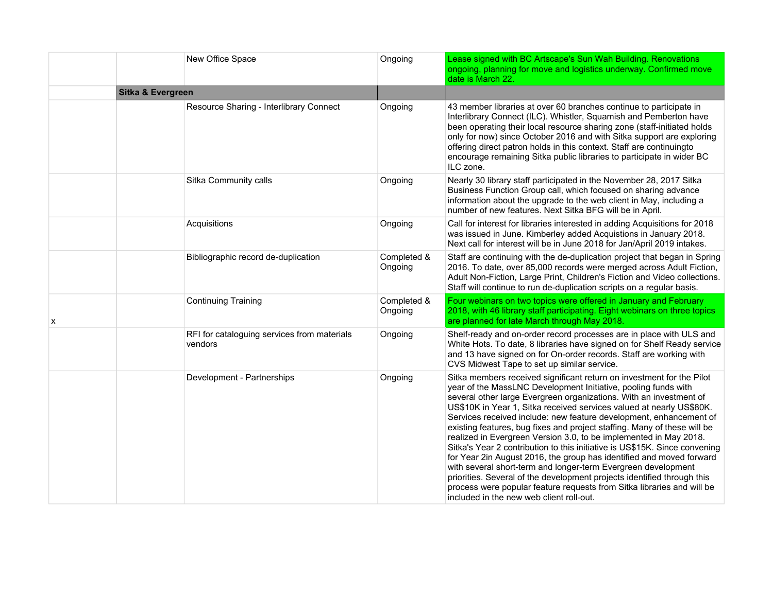|   |                              | New Office Space                                       | Ongoing                | Lease signed with BC Artscape's Sun Wah Building. Renovations<br>ongoing, planning for move and logistics underway. Confirmed move<br>date is March 22.                                                                                                                                                                                                                                                                                                                                                                                                                                                                                                                                                                                                                                                                                                                                                                              |
|---|------------------------------|--------------------------------------------------------|------------------------|--------------------------------------------------------------------------------------------------------------------------------------------------------------------------------------------------------------------------------------------------------------------------------------------------------------------------------------------------------------------------------------------------------------------------------------------------------------------------------------------------------------------------------------------------------------------------------------------------------------------------------------------------------------------------------------------------------------------------------------------------------------------------------------------------------------------------------------------------------------------------------------------------------------------------------------|
|   | <b>Sitka &amp; Evergreen</b> |                                                        |                        |                                                                                                                                                                                                                                                                                                                                                                                                                                                                                                                                                                                                                                                                                                                                                                                                                                                                                                                                      |
|   |                              | Resource Sharing - Interlibrary Connect                | Ongoing                | 43 member libraries at over 60 branches continue to participate in<br>Interlibrary Connect (ILC). Whistler, Squamish and Pemberton have<br>been operating their local resource sharing zone (staff-initiated holds<br>only for now) since October 2016 and with Sitka support are exploring<br>offering direct patron holds in this context. Staff are continuingto<br>encourage remaining Sitka public libraries to participate in wider BC<br>ILC zone.                                                                                                                                                                                                                                                                                                                                                                                                                                                                            |
|   |                              | Sitka Community calls                                  | Ongoing                | Nearly 30 library staff participated in the November 28, 2017 Sitka<br>Business Function Group call, which focused on sharing advance<br>information about the upgrade to the web client in May, including a<br>number of new features. Next Sitka BFG will be in April.                                                                                                                                                                                                                                                                                                                                                                                                                                                                                                                                                                                                                                                             |
|   |                              | Acquisitions                                           | Ongoing                | Call for interest for libraries interested in adding Acquisitions for 2018<br>was issued in June. Kimberley added Acquistions in January 2018.<br>Next call for interest will be in June 2018 for Jan/April 2019 intakes.                                                                                                                                                                                                                                                                                                                                                                                                                                                                                                                                                                                                                                                                                                            |
|   |                              | Bibliographic record de-duplication                    | Completed &<br>Ongoing | Staff are continuing with the de-duplication project that began in Spring<br>2016. To date, over 85,000 records were merged across Adult Fiction,<br>Adult Non-Fiction, Large Print, Children's Fiction and Video collections.<br>Staff will continue to run de-duplication scripts on a regular basis.                                                                                                                                                                                                                                                                                                                                                                                                                                                                                                                                                                                                                              |
| x |                              | <b>Continuing Training</b>                             | Completed &<br>Ongoing | Four webinars on two topics were offered in January and February<br>2018, with 46 library staff participating. Eight webinars on three topics<br>are planned for late March through May 2018.                                                                                                                                                                                                                                                                                                                                                                                                                                                                                                                                                                                                                                                                                                                                        |
|   |                              | RFI for cataloguing services from materials<br>vendors | Ongoing                | Shelf-ready and on-order record processes are in place with ULS and<br>White Hots. To date, 8 libraries have signed on for Shelf Ready service<br>and 13 have signed on for On-order records. Staff are working with<br>CVS Midwest Tape to set up similar service.                                                                                                                                                                                                                                                                                                                                                                                                                                                                                                                                                                                                                                                                  |
|   |                              | Development - Partnerships                             | Ongoing                | Sitka members received significant return on investment for the Pilot<br>year of the MassLNC Development Initiative, pooling funds with<br>several other large Evergreen organizations. With an investment of<br>US\$10K in Year 1, Sitka received services valued at nearly US\$80K.<br>Services received include: new feature development, enhancement of<br>existing features, bug fixes and project staffing. Many of these will be<br>realized in Evergreen Version 3.0, to be implemented in May 2018.<br>Sitka's Year 2 contribution to this initiative is US\$15K. Since convening<br>for Year 2in August 2016, the group has identified and moved forward<br>with several short-term and longer-term Evergreen development<br>priorities. Several of the development projects identified through this<br>process were popular feature requests from Sitka libraries and will be<br>included in the new web client roll-out. |